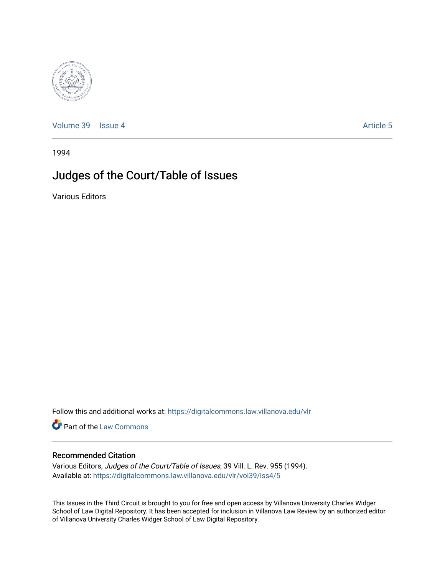

[Volume 39](https://digitalcommons.law.villanova.edu/vlr/vol39) | [Issue 4](https://digitalcommons.law.villanova.edu/vlr/vol39/iss4) Article 5

1994

## Judges of the Court/Table of Issues

Various Editors

Follow this and additional works at: [https://digitalcommons.law.villanova.edu/vlr](https://digitalcommons.law.villanova.edu/vlr?utm_source=digitalcommons.law.villanova.edu%2Fvlr%2Fvol39%2Fiss4%2F5&utm_medium=PDF&utm_campaign=PDFCoverPages)

Part of the [Law Commons](http://network.bepress.com/hgg/discipline/578?utm_source=digitalcommons.law.villanova.edu%2Fvlr%2Fvol39%2Fiss4%2F5&utm_medium=PDF&utm_campaign=PDFCoverPages)

### Recommended Citation

Various Editors, Judges of the Court/Table of Issues, 39 Vill. L. Rev. 955 (1994). Available at: [https://digitalcommons.law.villanova.edu/vlr/vol39/iss4/5](https://digitalcommons.law.villanova.edu/vlr/vol39/iss4/5?utm_source=digitalcommons.law.villanova.edu%2Fvlr%2Fvol39%2Fiss4%2F5&utm_medium=PDF&utm_campaign=PDFCoverPages) 

This Issues in the Third Circuit is brought to you for free and open access by Villanova University Charles Widger School of Law Digital Repository. It has been accepted for inclusion in Villanova Law Review by an authorized editor of Villanova University Charles Widger School of Law Digital Repository.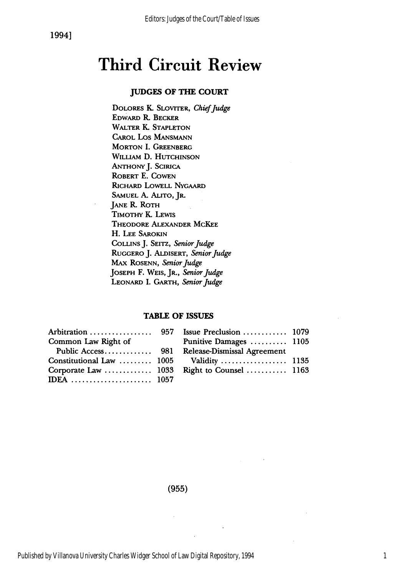# **Third Circuit Review**

### **JUDGES** OF **THE COURT**

DOLORES **K.** SLOVITER, *ChiefJudge* EDWARD R. BECKER WALTER **K. STAPLETON** CAROL Los MANSMANN **MORTON I. GREENBERG** WILLIAM **D. HUTCHINSON** ANTHONY J. SCIRICA ROBERT **E. COWEN RIcHARD** LOWELL NYGAARD SAMUEL A. ALITO, JR. JANE **R.** ROTH TIMOTHY **K.** LEWIS THEODORE ALEXANDER MCKEE H. **LEE** SAROKIN **COLLINS** J. SEITZ, *Senior Judge* RUGGERO J. ALDISERT, *Senior Judge* MAX ROSENN, *Senior Judge* **JOSEPH** F. WEIS, JR., *Senior Judge* LEONARD I. GARTH, *Senior Judge*

#### TABLE OF **ISSUES**

| Common Law Right of | Punitive Damages  1105                        |  |
|---------------------|-----------------------------------------------|--|
|                     | Public Access 981 Release-Dismissal Agreement |  |
|                     | Constitutional Law  1005 Validity  1135       |  |
|                     | Corporate Law  1033 Right to Counsel  1163    |  |
|                     |                                               |  |

**(955)**

Published by Villanova University Charles Widger School of Law Digital Repository, 1994

1